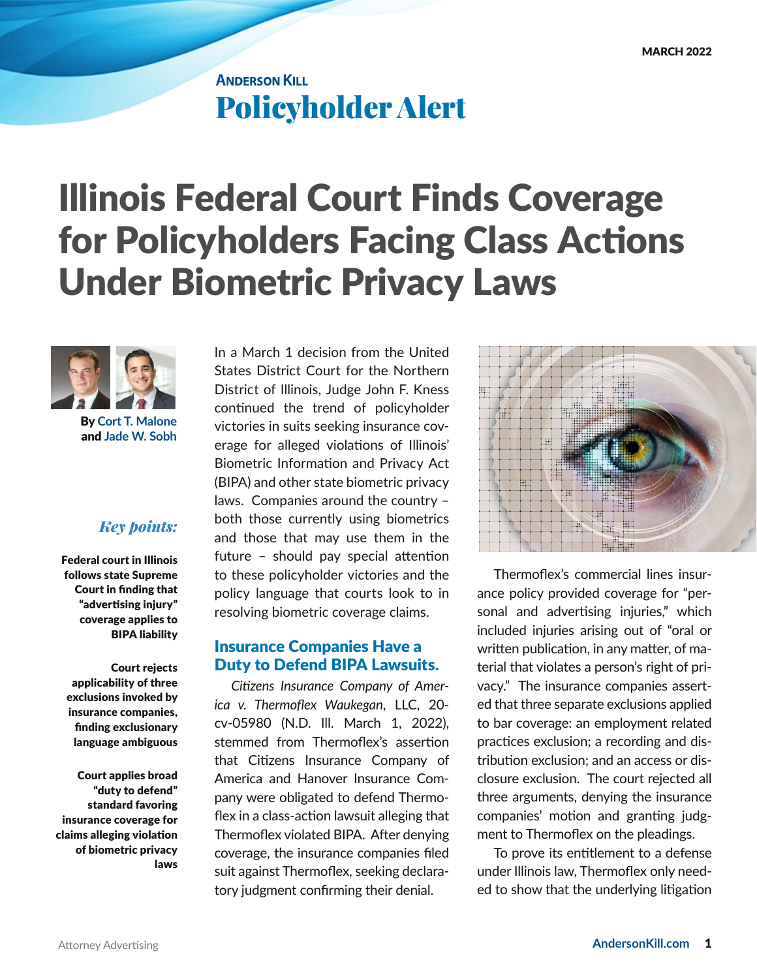## **ANDERSON KILL** Policyholder Alert

# Illinois Federal Court Finds Coverage for Policyholders Facing Class Actions Under Biometric Privacy Laws



By **[Cort T. Malone](https://www.andersonkill.com/People/Cort-T-Malone)**  and **[Jade W. Sobh](https://www.andersonkill.com/People/Jade-W-Sobh)**

#### *Key points:*

Federal court in Illinois follows state Supreme Court in finding that "advertising injury" coverage applies to BIPA liability

Court rejects applicability of three exclusions invoked by insurance companies, finding exclusionary language ambiguous

Court applies broad "duty to defend" standard favoring insurance coverage for claims alleging violation of biometric privacy laws In a March 1 decision from the United States District Court for the Northern District of Illinois, Judge John F. Kness continued the trend of policyholder victories in suits seeking insurance coverage for alleged violations of Illinois' Biometric Information and Privacy Act (BIPA) and other state biometric privacy laws. Companies around the country – both those currently using biometrics and those that may use them in the future – should pay special attention to these policyholder victories and the policy language that courts look to in resolving biometric coverage claims.

#### Insurance Companies Have a Duty to Defend BIPA Lawsuits.

*Citizens Insurance Company of America v. Thermoflex Waukegan*, LLC, 20 cv-05980 (N.D. Ill. March 1, 2022), stemmed from Thermoflex's assertion that Citizens Insurance Company of America and Hanover Insurance Company were obligated to defend Thermoflex in a class-action lawsuit alleging that Thermoflex violated BIPA. After denying coverage, the insurance companies filed suit against Thermoflex, seeking declaratory judgment confirming their denial.



Thermoflex's commercial lines insurance policy provided coverage for "personal and advertising injuries," which included injuries arising out of "oral or written publication, in any matter, of material that violates a person's right of privacy." The insurance companies asserted that three separate exclusions applied to bar coverage: an employment related practices exclusion; a recording and distribution exclusion; and an access or disclosure exclusion. The court rejected all three arguments, denying the insurance companies' motion and granting judgment to Thermoflex on the pleadings.

To prove its entitlement to a defense under Illinois law, Thermoflex only needed to show that the underlying litigation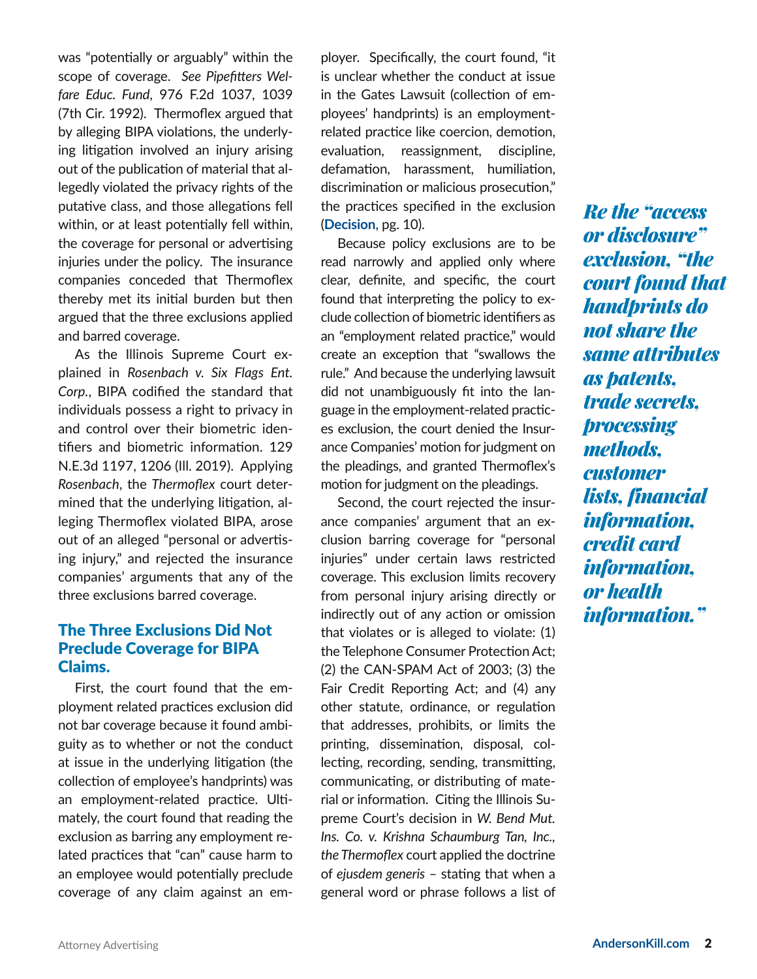was "potentially or arguably" within the scope of coverage. *See Pipefitters Welfare Educ. Fund*, 976 F.2d 1037, 1039 (7th Cir. 1992). Thermoflex argued that by alleging BIPA violations, the underlying litigation involved an injury arising out of the publication of material that allegedly violated the privacy rights of the putative class, and those allegations fell within, or at least potentially fell within, the coverage for personal or advertising injuries under the policy. The insurance companies conceded that Thermoflex thereby met its initial burden but then argued that the three exclusions applied and barred coverage.

As the Illinois Supreme Court explained in *Rosenbach v. Six Flags Ent. Corp.*, BIPA codified the standard that individuals possess a right to privacy in and control over their biometric identifiers and biometric information. 129 N.E.3d 1197, 1206 (Ill. 2019). Applying *Rosenbach*, the *Thermoflex* court determined that the underlying litigation, alleging Thermoflex violated BIPA, arose out of an alleged "personal or advertising injury," and rejected the insurance companies' arguments that any of the three exclusions barred coverage.

#### The Three Exclusions Did Not Preclude Coverage for BIPA Claims.

First, the court found that the employment related practices exclusion did not bar coverage because it found ambiguity as to whether or not the conduct at issue in the underlying litigation (the collection of employee's handprints) was an employment-related practice. Ultimately, the court found that reading the exclusion as barring any employment related practices that "can" cause harm to an employee would potentially preclude coverage of any claim against an employer. Specifically, the court found, "it is unclear whether the conduct at issue in the Gates Lawsuit (collection of employees' handprints) is an employmentrelated practice like coercion, demotion, evaluation, reassignment, discipline, defamation, harassment, humiliation, discrimination or malicious prosecution," the practices specified in the exclusion (**[Decision](https://law.justia.com/cases/federal/district-courts/illinois/ilndce/1:2020cv05980/392070/52/)**, pg. 10).

Because policy exclusions are to be read narrowly and applied only where clear, definite, and specific, the court found that interpreting the policy to exclude collection of biometric identifiers as an "employment related practice," would create an exception that "swallows the rule." And because the underlying lawsuit did not unambiguously fit into the language in the employment-related practices exclusion, the court denied the Insurance Companies' motion for judgment on the pleadings, and granted Thermoflex's motion for judgment on the pleadings.

Second, the court rejected the insurance companies' argument that an exclusion barring coverage for "personal injuries" under certain laws restricted coverage. This exclusion limits recovery from personal injury arising directly or indirectly out of any action or omission that violates or is alleged to violate: (1) the Telephone Consumer Protection Act; (2) the CAN-SPAM Act of 2003; (3) the Fair Credit Reporting Act; and (4) any other statute, ordinance, or regulation that addresses, prohibits, or limits the printing, dissemination, disposal, collecting, recording, sending, transmitting, communicating, or distributing of material or information. Citing the Illinois Supreme Court's decision in *W. Bend Mut. Ins. Co. v. Krishna Schaumburg Tan, Inc., the Thermoflex* court applied the doctrine of *ejusdem generis* – stating that when a general word or phrase follows a list of *Re the "access or disclosure" exclusion, "the court found that handprints do not share the same attributes as patents, trade secrets, processing methods, customer lists, financial information, credit card information, or health information."*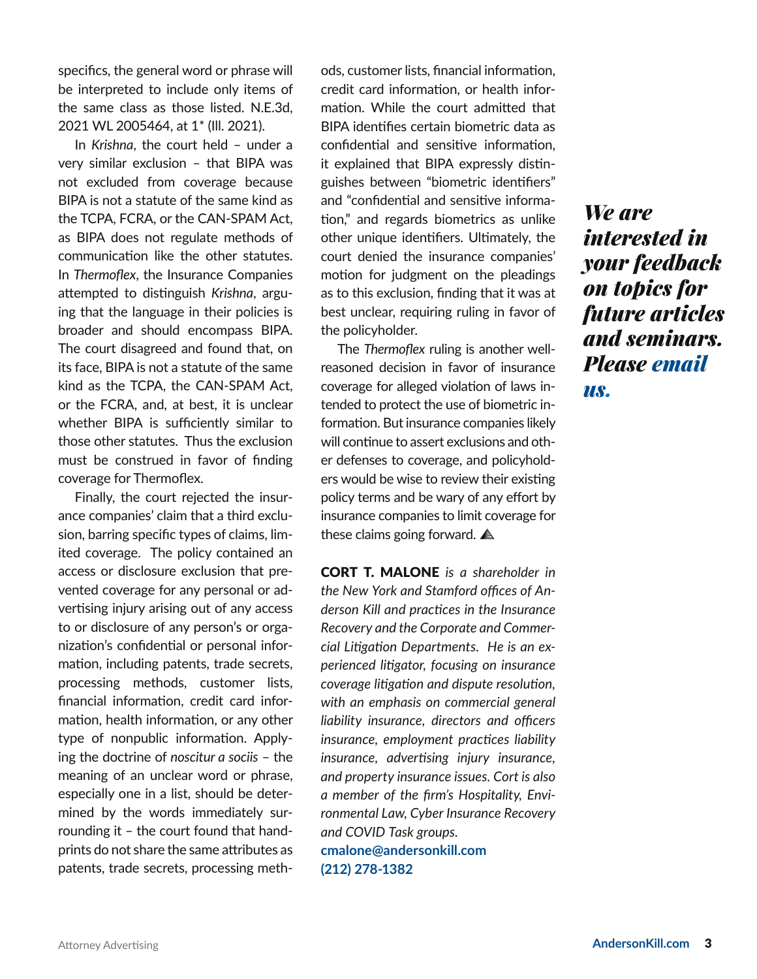specifics, the general word or phrase will be interpreted to include only items of the same class as those listed. N.E.3d, 2021 WL 2005464, at 1\* (Ill. 2021).

In *Krishna*, the court held – under a very similar exclusion – that BIPA was not excluded from coverage because BIPA is not a statute of the same kind as the TCPA, FCRA, or the CAN-SPAM Act, as BIPA does not regulate methods of communication like the other statutes. In *Thermoflex*, the Insurance Companies attempted to distinguish *Krishna*, arguing that the language in their policies is broader and should encompass BIPA. The court disagreed and found that, on its face, BIPA is not a statute of the same kind as the TCPA, the CAN-SPAM Act, or the FCRA, and, at best, it is unclear whether BIPA is sufficiently similar to those other statutes. Thus the exclusion must be construed in favor of finding coverage for Thermoflex.

Finally, the court rejected the insurance companies' claim that a third exclusion, barring specific types of claims, limited coverage. The policy contained an access or disclosure exclusion that prevented coverage for any personal or advertising injury arising out of any access to or disclosure of any person's or organization's confidential or personal information, including patents, trade secrets, processing methods, customer lists, financial information, credit card information, health information, or any other type of nonpublic information. Applying the doctrine of *noscitur a sociis* – the meaning of an unclear word or phrase, especially one in a list, should be determined by the words immediately surrounding it – the court found that handprints do not share the same attributes as patents, trade secrets, processing methods, customer lists, financial information, credit card information, or health information. While the court admitted that BIPA identifies certain biometric data as confidential and sensitive information, it explained that BIPA expressly distinguishes between "biometric identifiers" and "confidential and sensitive information," and regards biometrics as unlike other unique identifiers. Ultimately, the court denied the insurance companies' motion for judgment on the pleadings as to this exclusion, finding that it was at best unclear, requiring ruling in favor of the policyholder.

The *Thermoflex* ruling is another wellreasoned decision in favor of insurance coverage for alleged violation of laws intended to protect the use of biometric information. But insurance companies likely will continue to assert exclusions and other defenses to coverage, and policyholders would be wise to review their existing policy terms and be wary of any effort by insurance companies to limit coverage for these claims going forward. **A** 

CORT T. MALONE *is a shareholder in the New York and Stamford offices of Anderson Kill and practices in the Insurance Recovery and the Corporate and Commercial Litigation Departments. He is an experienced litigator, focusing on insurance coverage litigation and dispute resolution, with an emphasis on commercial general liability insurance, directors and officers insurance, employment practices liability insurance, advertising injury insurance, and property insurance issues. Cort is also a member of the firm's Hospitality, Environmental Law, Cyber Insurance Recovery and COVID Task groups.* **cmalone@andersonkill.com [\(212\) 278-1382](tel:2122781382)**

*We are interested in your feedback on topics for future articles and seminars. Please [email](mailto:information%40andersonkill.com?subject=)  [us](mailto:information%40andersonkill.com?subject=).*